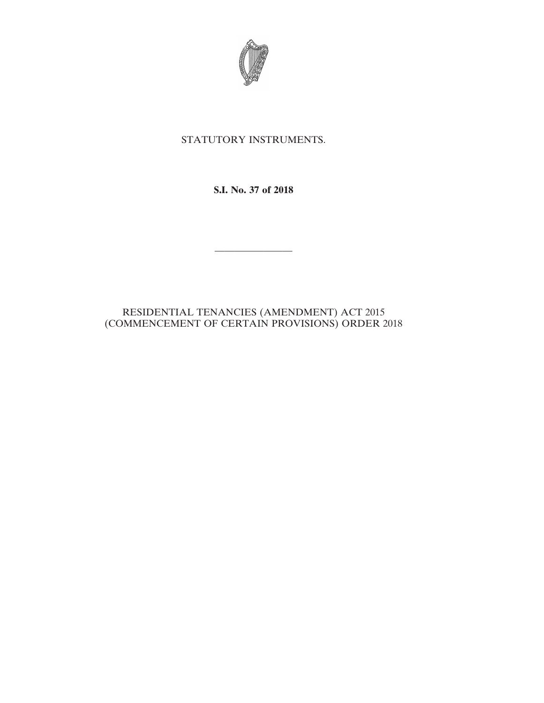

## STATUTORY INSTRUMENTS.

**S.I. No. 37 of 2018**

————————

## RESIDENTIAL TENANCIES (AMENDMENT) ACT 2015 (COMMENCEMENT OF CERTAIN PROVISIONS) ORDER 2018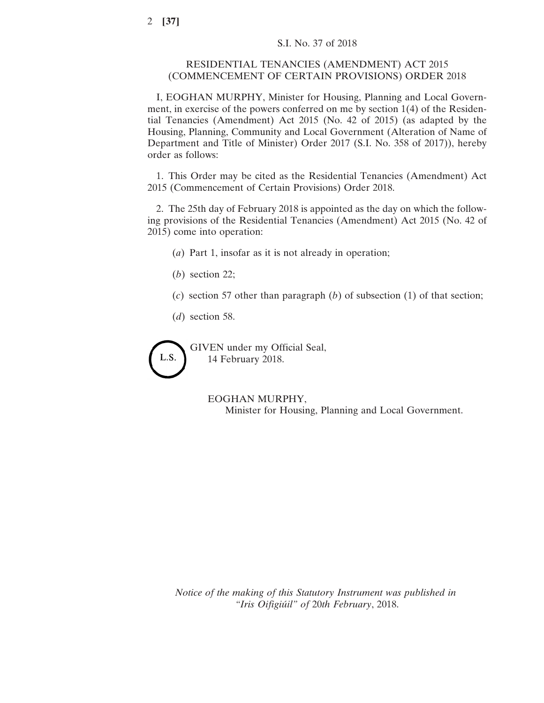## RESIDENTIAL TENANCIES (AMENDMENT) ACT 2015 (COMMENCEMENT OF CERTAIN PROVISIONS) ORDER 2018

I, EOGHAN MURPHY, Minister for Housing, Planning and Local Government, in exercise of the powers conferred on me by section 1(4) of the Residential Tenancies (Amendment) Act 2015 (No. 42 of 2015) (as adapted by the Housing, Planning, Community and Local Government (Alteration of Name of Department and Title of Minister) Order 2017 (S.I. No. 358 of 2017)), hereby order as follows:

1. This Order may be cited as the Residential Tenancies (Amendment) Act 2015 (Commencement of Certain Provisions) Order 2018.

2. The 25th day of February 2018 is appointed as the day on which the following provisions of the Residential Tenancies (Amendment) Act 2015 (No. 42 of 2015) come into operation:

(*a*) Part 1, insofar as it is not already in operation;

- (*b*) section 22;
- (*c*) section 57 other than paragraph (*b*) of subsection (1) of that section;
- (*d*) section 58.

L.S.

GIVEN under my Official Seal, 14 February 2018.

> EOGHAN MURPHY, Minister for Housing, Planning and Local Government.

*Notice of the making of this Statutory Instrument was published in "Iris Oifigiúil" of* 20*th February*, 2018.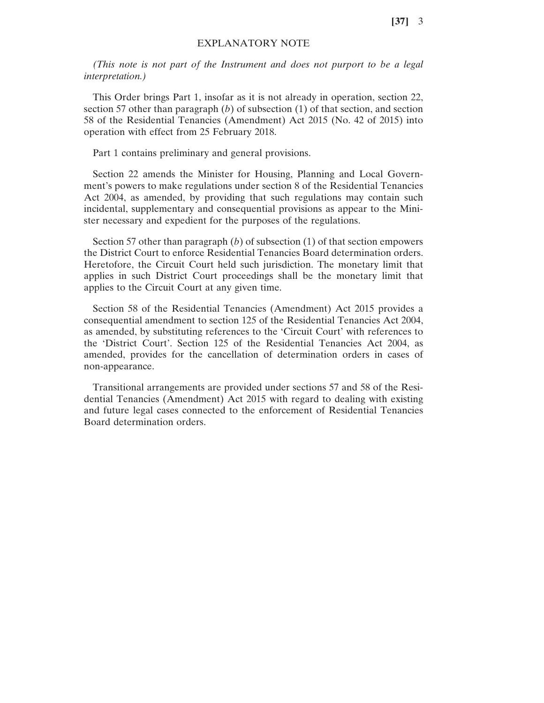**[37]** 3

## EXPLANATORY NOTE

*(This note is not part of the Instrument and does not purport to be a legal interpretation.)*

This Order brings Part 1, insofar as it is not already in operation, section 22, section 57 other than paragraph (*b*) of subsection (1) of that section, and section 58 of the Residential Tenancies (Amendment) Act 2015 (No. 42 of 2015) into operation with effect from 25 February 2018.

Part 1 contains preliminary and general provisions.

Section 22 amends the Minister for Housing, Planning and Local Government's powers to make regulations under section 8 of the Residential Tenancies Act 2004, as amended, by providing that such regulations may contain such incidental, supplementary and consequential provisions as appear to the Minister necessary and expedient for the purposes of the regulations.

Section 57 other than paragraph (*b*) of subsection (1) of that section empowers the District Court to enforce Residential Tenancies Board determination orders. Heretofore, the Circuit Court held such jurisdiction. The monetary limit that applies in such District Court proceedings shall be the monetary limit that applies to the Circuit Court at any given time.

Section 58 of the Residential Tenancies (Amendment) Act 2015 provides a consequential amendment to section 125 of the Residential Tenancies Act 2004, as amended, by substituting references to the 'Circuit Court' with references to the 'District Court'. Section 125 of the Residential Tenancies Act 2004, as amended, provides for the cancellation of determination orders in cases of non-appearance.

Transitional arrangements are provided under sections 57 and 58 of the Residential Tenancies (Amendment) Act 2015 with regard to dealing with existing and future legal cases connected to the enforcement of Residential Tenancies Board determination orders.